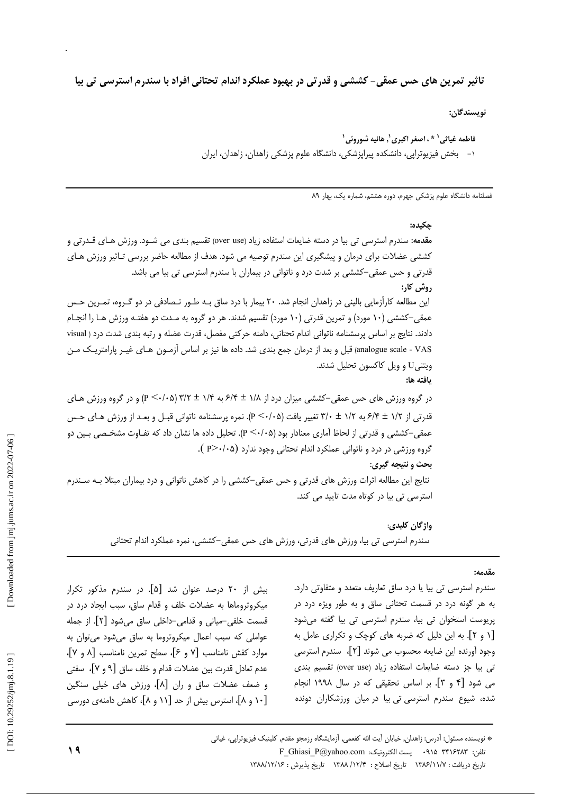# تاثیر تمرین های حس عمقی- کششی و قدرتی در بهبود عملکرد اندام تحتانی افراد با سندرم استرسی تی بیا

نويسندگان:

فاطمه غياثي' \* ، اصغر اكبري', هانيه شوروئي' ۱– بخش فیزیوتراپی، دانشکده پیراپزشکی، دانشگاه علوم پزشکی زاهدان، زاهدان، ایران

فصلنامه دانشگاه علوم پزشکی جهرم، دوره هشتم، شماره یک، بهار ۸۹

 $.152$ 

مقدمه: سندرم استرسی تی بیا در دسته ضایعات استفاده زیاد (over use) تقسیم بندی می شـود. ورزش هـای قـدرتی و کششی عضلات برای درمان و پیشگیری این سندرم توصیه می شود. هدف از مطالعه حاضر بررسی تـاثیر ورزش هـای قدرتی و حس عمقی–کششی بر شدت درد و ناتوانی در بیماران با سندرم استرسی تی بیا می باشد. روش کار: این مطالعه کارآزمایی بالینی در زاهدان انجام شد. ۲۰ بیمار با درد ساق بـه طـور تـصادفی در دو گـروه، تمـرین حـس عمقی–کششی (۱۰ مورد) و تمرین قدرتی (۱۰ مورد) تقسیم شدند. هر دو گروه به مـدت دو هفتـه ورزش هـا را انجـام دادند. نتايج بر اساس پرسشنامه ناتواني اندام تحتاني، دامنه حركتي مفصل، قدرت عضله و رتبه بندي شدت درد ( visual analogue scale - VAS) قبل و بعد از درمان جمع بندی شد. داده ها نیز بر اساس آزمـون هـای غیـر پارامتریـک مـن ويتني U و ويل كاكسون تحليل شدند. يافته ها: در گروه ورزش های حس عمقی–کششی میزان درد از ۱/۸ ± ۶/۴ به ۱/۴ ± ۱/۲ (۲۰/۰۵ (۲/۰۷-) و در گروه ورزش هـای قدرتی از ۱/۲ ± ۶/۴ به ۱/۲ ± ۳/۰ تغییر یافت (۲/۰/۵). نمره پرسشنامه ناتوانی قبـل و بعـد از ورزش هـای حـس عمقی–کششی و قدرتی از لحاظ آماری معنادار بود (۶۰/۰۵). تحلیل داده ها نشان داد که تفـاوت مشخـصی بـین دو گروه ورزشی در درد و ناتوانی عملکرد اندام تحتانی وجود ندارد (P>٠/٠۵). بحث و نتیجه گیری: نتایج این مطالعه اثرات ورزش های قدرتی و حس عمقی–کششی را در کاهش ناتوانی و درد بیماران مبتلا بـه سـندرم استرسی تی بیا در کوتاه مدت تایید می کند. واژگان کليدي:

سندرم استرسی تی بیا، ورزش های قدرتی، ورزش های حس عمقی–کششی، نمره عملکرد اندام تحتانی

مقدمه:

بیش از ۲۰ درصد عنوان شد [۵]. در سندرم مذکور تکرار میکروتروماها به عضلات خلف و قدام ساق، سبب ایجاد درد در قسمت خلفي–مياني و قدامي–داخلي ساق مي شود [٢]. از جمله عواملی که سبب اعمال میکروتروما به ساق میشود میتوان به موارد كفش نامناسب [٧ و ۶]، سطح تمرين نامناسب [٨ و ٧]، عدم تعادل قدرت بين عضلات قدام و خلف ساق [٩ و ٧]، سفتي و ضعف عضلات ساق و ران [۸]، ورزش های خیلی سنگین [۱۰ و ۸]، استرس بیش از حد [۱۱ و ۸]، کاهش دامنهی دورسی

سندرم استرسی تی بیا یا درد ساق تعاریف متعدد و متفاوتی دارد. به هر گونه درد در قسمت تحتانی ساق و به طور ویژه درد در پریوست استخوان تی بیا، سندرم استرسی تی بیا گفته می شود [۱ و ۲]. به این دلیل که ضربه های کوچک و تکراری عامل به وجود آورنده این ضایعه محسوب می شوند [۲]، سندرم استرسی تى بيا جز دسته ضايعات استفاده زياد (over use) تقسيم بندى می شود [۴ و ۳]. بر اساس تحقیقی که در سال ۱۹۹۸ انجام شده، شیوع سندرم استرسی تی بیا در میان ورزشکاران دونده

\* نویسنده مسئول: آدرس: زاهدان, خیابان آیت الله کفعمی, آزمایشگاه رزمجو مقدم, کلینیک فیزیوتراپی، غیاثی F\_Ghiasi\_P@yahoo.com و . بست الكترونيك: F\_Ghiasi\_P@yahoo.com تاريخ دريافت : ١٣٨٤/١١/٧ تاريخ اصلاح : ١٣٨٤/ ١٣٨٨ تاريخ يذيرش : ١٣٨٨/١٢/١۶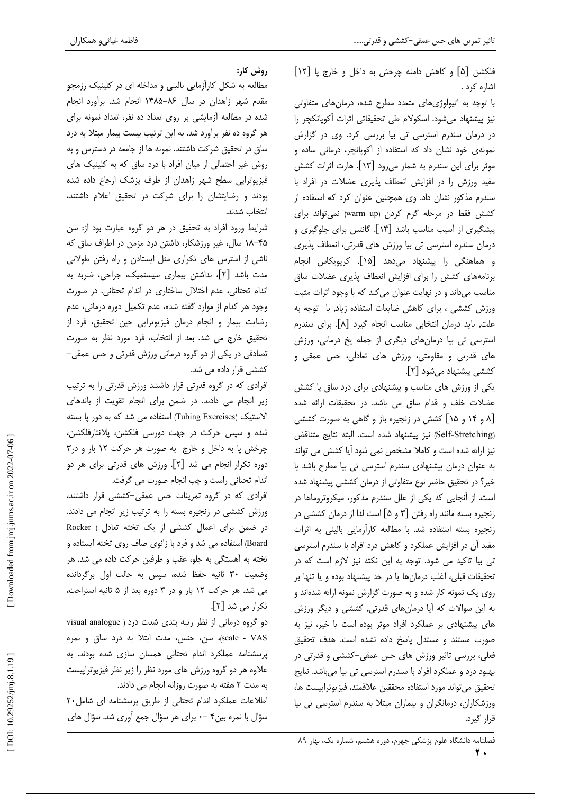فلكشن [۵] و كاهش دامنه چرخش به داخل و خارج پا [١٢] اشاره کرد .

با توجه به اتیولوژیهای متعدد مطرح شده، درمانهای متفاوتی نیز پیشنهاد می شود. اسکولام طی تحقیقاتی اثرات آکوپانکچر را در درمان سندرم استرسی تی بیا بررسی کرد. وی در گزارش نمونهی خود نشان داد که استفاده از آکوپانچر، درمانی ساده و موثر برای این سندرم به شمار می رود [۱۳]. هارت اثرات کشش مفید ورزش را در افزایش انعطاف پذیری عضلات در افراد با سندرم مذکور نشان داد. وی همچنین عنوان کرد که استفاده از كشش فقط در مرحله گرم كردن (warm up) نمى تواند براى ییشگیری از آسیب مناسب باشد [۱۴]. گانتس برای جلوگیری و درمان سندرم استرسی تی بیا ورزش های قدرتی، انعطاف پذیری و هماهنگی را پیشنهاد میدهد [۱۵]. کریویکاس انجام برنامههای کشش را برای افزایش انعطاف پذیری عضلات ساق مناسب میداند و در نهایت عنوان می کند که با وجود اثرات مثبت ورزش كششى ، براى كاهش ضايعات استفاده زياد, با توجه به علت, بايد درمان انتخابي مناسب انجام گيرد [٨]. براي سندرم استرسی تی بیا درمانهای دیگری از جمله یخ درمانی، ورزش های قدرتی و مقاومتی، ورزش های تعادلی، حس عمقی و كششى ييشنهاد مى شود [٢].

یکی از ورزش های مناسب و پیشنهادی برای درد ساق پا کشش عضلات خلف و قدام ساق می باشد. در تحقیقات ارائه شده [۸ و ۱۴ و ۱۵] کشش در زنجیره باز و گاهی به صورت کششی (Self-Stretching) نيز پيشنهاد شده است. البته نتايج متناقض نیز ارائه شده است و کاملا مشخص نمی شود آیا کشش می تواند به عنوان درمان پیشنهادی سندرم استرسی تی بیا مطرح باشد یا خیر؟ در تحقیق حاضر نوع متفاوتی از درمان کششی پیشنهاد شده است. از آنجایی که یکی از علل سندرم مذکور، میکروتروماها در زنجیره بسته مانند راه رفتن [۳ و ۵] است لذا از درمان کششی در زنجیره بسته استفاده شد. با مطالعه كارآزمایی بالینی به اثرات مفید آن در افزایش عملکرد و کاهش درد افراد با سندرم استرسی تی بیا تاکید می شود. توجه به این نکته نیز لازم است که در تحقیقات قبلی، اغلب درمانها یا در حد پیشنهاد بوده و یا تنها بر روی یک نمونه کار شده و به صورت گزارش نمونه ارائه شدهاند و به این سوالات که آیا درمانهای قدرتی, کششی و دیگر ورزش های پیشنهادی بر عملکرد افراد موثر بوده است یا خیر، نیز به صورت مستند و مستدل پاسخ داده نشده است. هدف تحقیق فعلی، بررسی تاثیر ورزش های حس عمقی–کششی و قدرتی در بهبود درد و عملکرد افراد با سندرم استرسی تی بیا میباشد. نتایج تحقيق مي تواند مورد استفاده محققين علاقمند، فيزيوتراييست ها، ورزشکاران، درمانگران و بیماران مبتلا به سندرم استرسی تی بیا قرار گیرد.

روش کار:

مطالعه به شکل کارآزمایی بالینی و مداخله ای در کلینیک رزمجو مقدم شهر زاهدان در سال ۸۶–۱۳۸۵ انجام شد. برآورد انجام شده در مطالعه آزمایشی بر روی تعداد ده نفر، تعداد نمونه برای هر گروه ده نفر برآورد شد. به این ترتیب بیست بیمار مبتلا به درد ساق در تحقیق شرکت داشتند. نمونه ها از جامعه در دسترس و به روش غیر احتمالی از میان افراد با درد ساق که به کلینیک های فیزیوتراپی سطح شهر زاهدان از طرف پزشک ارجاع داده شده بودند و رضایتشان را برای شرکت در تحقیق اعلام داشتند، انتخاب شدند.

شرایط ورود افراد به تحقیق در هر دو گروه عبارت بود از: سن ۴۵–۱۸ سال، غیر ورزشکار، داشتن درد مزمن در اطراف ساق که ناشی از استرس های تکراری مثل ایستادن و راه رفتن طولانی مدت باشد [۲]، نداشتن بیماری سیستمیک، جراحی، ضربه به اندام تحتانی، عدم اختلال ساختاری در اندام تحتانی. در صورت وجود هر كدام از موارد گفته شده، عدم تكميل دوره درماني، عدم رضایت بیمار و انجام درمان فیزیوتراپی حین تحقیق، فرد از تحقیق خارج می شد. بعد از انتخاب، فرد مورد نظر به صورت تصادفی در یکی از دو گروه درمانی ورزش قدرتی و حس عمقی– کششی قرار داده می شد.

افرادی که در گروه قدرتی قرار داشتند ورزش قدرتی را به ترتیب زیر انجام می دادند. در ضمن برای انجام تقویت از باندهای الاستیک (Tubing Exercises) استفاده می شد که به دور پا بسته شده و سپس حرکت در جهت دورسی فلکشن، پلانتارفلکشن، چرخش پا به داخل و خارج به صورت هر حرکت ١٢ بار و در٣ دورہ تکرار انجام می شد [۲]. ورزش های قدرتی برای هر دو اندام تحتاني راست و چپ انجام صورت مي گرفت.

افرادی که در گروه تمرینات حس عمقی-کششی قرار داشتند، ورزش كششى در زنجيره بسته را به ترتيب زير انجام مى دادند. در ضمن برای اعمال کششی از یک تخته تعادل ( Rocker Board) استفاده می شد و فرد با زانوی صاف روی تخته ایستاده و تخته به آهستگی به جلو، عقب و طرفین حرکت داده می شد. هر وضعیت ٣٠ ثانيه حفظ شده، سپس به حالت اول برگردانده می شد. هر حرکت ١٢ بار و در ٣ دوره بعد از ۵ ثانيه استراحت، تكرار مي شد [۲].

دو گروه درمانی از نظر رتبه بندی شدت درد ( visual analogue scale - VAS)، سن، جنس، مدت ابتلا به درد ساق و نمره پرسشنامه عملکرد اندام تحتانی همسان سازی شده بودند. به علاوه هر دو گروه ورزش های مورد نظر را زیر نظر فیزیوتراپیست به مدت ۲ هفته به صورت روزانه انجام می دادند.

اطلاعات عملكرد اندام تحتانى از طريق پرسشنامه اى شامل٢٠ سؤال با نمره بین۴ –۰ برای هر سؤال جمع آوری شد. سؤال های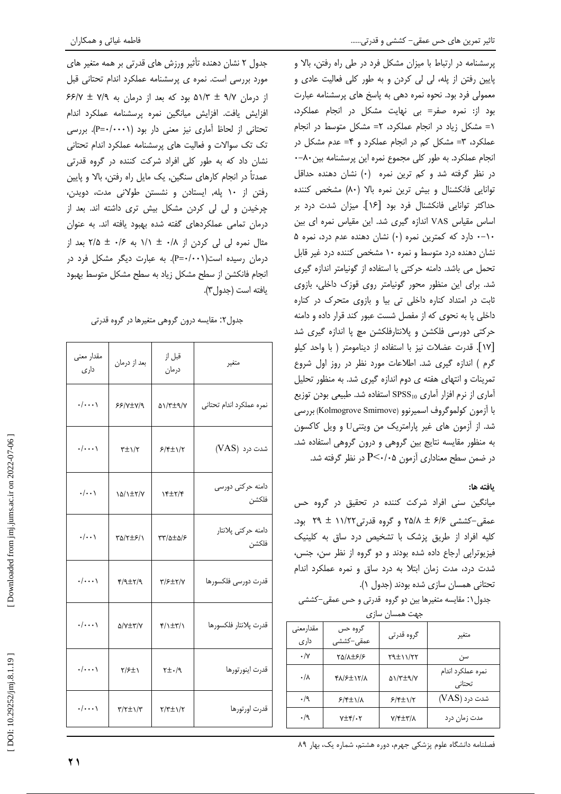جدول ۲ نشان دهنده تأثیر ورزش های قدرتی بر همه متغیر های مورد بررسی است. نمره ی پرسشنامه عملکرد اندام تحتانی قبل از درمان ۹/۷ ± ۵۱/۳ بود که بعد از درمان به ۶۶/۷ ± ۷/۹ افزایش یافت. افزایش میانگین نمره پرسشنامه عملکرد اندام تحتانی از لحاظ آماری نیز معنی دار بود (۱۰۰۰/۰=P). بررسی تک تک سوالات و فعالیت های پرسشنامه عملکرد اندام تحتانی نشان داد که به طور کلی افراد شرکت کننده در گروه قدرتی عمدتاً در انجام کارهای سنگین, یک مایل راه رفتن، بالا و پایین رفتن از ۱۰ یله, ایستادن و نشستن طولانی مدت، دویدن، چرخیدن و لی لی کردن مشکل بیش تری داشته اند. بعد از درمان تمامی عملکردهای گفته شده بهبود یافته اند. به عنوان مثال نمره لی لی کردن از ۰/۸ ± ۱/۱ به ۰/۶ ± ۲/۵ بعد از درمان رسیده است(P=٠/٠٠١). به عبارت دیگر مشکل فرد در انجام فانكشن از سطح مشكل زياد به سطح مشكل متوسط بهبود يافته است (جدول٣).

جدول۲: مقایسه درون گروهی متغیرها در گروه قدرتی

| مقدار معنى<br>داری | بعد از درمان                | قبل از<br>درمان                     | متغير                        |
|--------------------|-----------------------------|-------------------------------------|------------------------------|
| $\cdot/\cdots$     | $55/7\pm 7/9$               | <b>AI/۳±٩/V</b>                     | نمره عملكرد اندام تحتانى     |
| $\cdot/\cdots$     | $\tau \pm \gamma/\tau$      | $5/8\pm1/7$                         | شدت درد (VAS)                |
| $\cdot/\cdot\cdot$ | 14/1±۲/۷                    | $Y^{\pm 1}$                         | دامنه حرکتی دورسی<br>فلكشن   |
| $\cdot/\cdot\cdot$ | TQ/T+8/1                    | $\tau\tau/\Delta\pm\Delta/\epsilon$ | دامنه حركتي پلانتار<br>فلكشن |
| $\cdot/\cdots$     | $f(1\pm r)$                 | $\frac{1}{2}$                       | قدرت دورسى فلكسورها          |
| $\cdot/\cdots$     | A/Y±۳/Y                     | <b>F/1±۳/1</b>                      | قدرت يلانتار فلكسورها        |
| $\cdot/\cdots$     | 8/۶±۱                       | $\gamma + \pm \gamma$               | قدرت اينورتورها              |
| $\cdot/\cdots$     | $\tau/\tau \pm \gamma/\tau$ | $Y/\tau \pm 1/\tau$                 | قدرت اورتورها                |

پرسشنامه در ارتباط با میزان مشکل فرد در طی راه رفتن، بالا و پایین رفتن از پله، لی لی کردن و به طور کلی فعالیت عادی و معمولی فرد بود. نحوه نمره دهی به پاسخ های پرسشنامه عبارت بود از: نمره صفر= بي نهايت مشكل در انجام عملكرد، ١= مشكل زياد در انجام عملكرد، ٢= مشكل متوسط در انجام عملکرد، ٣= مشکل کم در انجام عملکرد و ۴= عدم مشکل در انجام عملکرد. به طور کلی مجموع نمره این پرسشنامه بین ۸۰-۰ در نظر گرفته شد و کم ترین نمره (۰) نشان دهنده حداقل توانایی فانکشنال و بیش ترین نمره بالا (۸۰) مشخص کننده حداکثر توانایی فانکشنال فرد بود [۱۶]. میزان شدت درد بر اساس مقیاس VAS اندازه گیری شد. این مقیاس نمره ای بین ١٠-٠ دارد كه كمترين نمره (٠) نشان دهنده عدم درد، نمره ۵ نشان دهنده درد متوسط و نمره ۱۰ مشخص کننده درد غیر قابل تحمل می باشد. دامنه حرکتی با استفاده از گونیامتر اندازه گیری شد. برای این منظور محور گونیامتر روی قوزک داخلی، بازوی ثابت در امتداد کناره داخلی تی بیا و بازوی متحرک در کناره داخلی پا به نحوی که از مفصل شست عبور کند قرار داده و دامنه حرکتی دورسی فلکشن و پلانتارفلکشن مچ پا اندازه گیری شد [١٧]. قدرت عضلات نيز با استفاده از دينامومتر ( با واحد كيلو گرم ) اندازه گیری شد. اطلاعات مورد نظر در روز اول شروع تمرینات و انتهای هفته ی دوم اندازه گیری شد. به منظور تحلیل آماری از نرم افزار آماری SPSS10 استفاده شد. طبیعی بودن توزیع با آزمون كولموگروف اسميرنوو (Kolmogrove Smirnove) بررسى شد. از آزمون های غیر پارامتریک من ویتنیU و ویل کاکسون به منظور مقایسه نتایج بین گروهی و درون گروهی استفاده شد. در ضمن سطح معناداری آزمون P<۰/۰۵ در نظر گرفته شد.

# يافته ها:

میانگین سنی افراد شرکت کننده در تحقیق در گروه حس عمقی-کششی ۶/۶ ± ۲۵/۸ و گروه قدرتی ۱۱/۲۲ ± ۲۹ بود. کلیه افراد از طریق پزشک با تشخیص درد ساق به کلینیک فیزیوتراپی ارجاع داده شده بودند و دو گروه از نظر سن، جنس، شدت درد، مدت زمان ابتلا به درد ساق و نمره عملکرد اندام تحتانی همسان سازی شده بودند (جدول ۱).

جدول ١: مقايسه متغيرها بين دو گروه قدرتي و حس عمقي-كششي

جهت همسان سازی

| مقدارمعنبي<br>داری | گروه حس<br>عمقی –کششے ِ                 | گروه قدرتی                     | متغير                       |  |
|--------------------|-----------------------------------------|--------------------------------|-----------------------------|--|
| $\cdot/\gamma$     | <b>TQ/A±۶/۶</b>                         | $Y9\pm11/77$                   | سن                          |  |
| $\cdot/\lambda$    | <b>FA/SINT/A</b>                        | $\Delta$ / $\gamma$ + $\gamma$ | نمرہ عملکرد اندام<br>تحتانى |  |
| $\cdot/9$          | $5/5$ $\pm$ $1/4$                       | $5/5+1/7$                      | شدت درد (VAS)               |  |
| $\cdot/9$          | $Y \pm \mathfrak{f}/\cdot \mathfrak{r}$ | V/F±۳/A                        | مدت زمان درد                |  |

فصلنامه دانشگاه علوم پزشکی جهرم، دوره هشتم، شماره یک، بهار ۸۹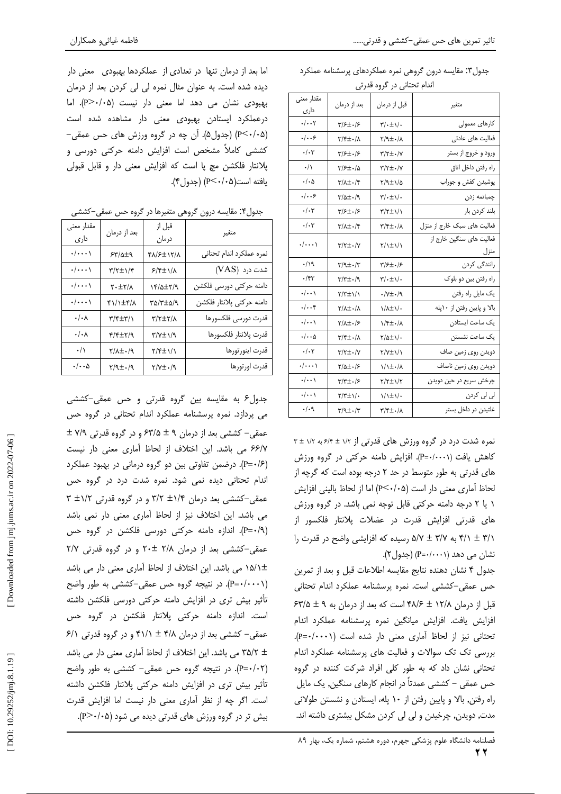جدول۳: مقایسه درون گروهی نمره عملکردهای پرسشنامه عملکرد أزداه تجتأز ادراكيمه قدرة

| اندام نختانی در حروه فدرنی   |                                                 |                                      |                                  |
|------------------------------|-------------------------------------------------|--------------------------------------|----------------------------------|
| مقدار معنى<br>داری           | بعد از درمان                                    | قبل از درمان                         | متغير                            |
| $\cdot/\cdot\cdot\mathbf{y}$ | $\frac{1}{2}$                                   | $\sqrt{\cdot} \pm \sqrt{\cdot}$      | كارهاي معمولي                    |
| $\cdot/\cdot\cdot$ ۶         | <b>۳/۴±۰/۸</b>                                  | $\gamma/\gamma$ + $\pm$ ۰/۸          | فعالیت ها <i>ی</i> عادتی         |
| $\cdot/\cdot$ ۳              | ۳/۶±۰/۶                                         | $\frac{1}{2}$                        | ورود و خروج از بستر              |
| $\cdot/\wedge$               | T/۶±./۵                                         | $\upgamma/\upgamma\pm\cdot/\upgamma$ | راه رفتن داخل اتاق               |
| $\cdot$ / $\cdot$ $\upDelta$ | $\frac{1}{2}$                                   | ۲/۹±۱/۵                              | پوشیدن کفش و جوراب               |
| ۰/۰۰۶                        | 3/0±0/9                                         | $\frac{1}{2}$                        | چمباتمه زدن                      |
| $\cdot/\cdot$ ۳              | ۳/۶±۰/۶                                         | <b>٣/٢±١/١</b>                       | بلند كردن بار                    |
| $\cdot/\cdot$ ۳              | $\gamma/\lambda \pm \frac{1}{2}\sqrt{\tau}$     | $\frac{1}{2}$                        | فعالیت های سبک خارج از منزل      |
| $\cdot/\cdot\cdot\cdot$      | $\frac{1}{2}$                                   | $\frac{1}{\sqrt{2}}$                 | فعالیت های سنگین خارج از<br>منزل |
| ۰/۱۹                         | $\mathbf{r}/\mathbf{q}\pm\mathbf{.}/\mathbf{r}$ | ۳/۶±۰/۶                              | رانندگی کردن                     |
| ۰/۴۳                         | 7/۳±۰/9                                         | $\frac{1}{2}$                        | راه رفتن بين دو بلوک             |
| $\cdot/\cdot\cdot$           | $\frac{1}{\sqrt{2}}$                            | $\cdot/\gamma$ ± $\cdot/\gamma$      | یک مایل راه رفتن                 |
| $\cdot/\cdot\cdot$ ۴         | $\gamma/\lambda \pm \frac{1}{2}\lambda$         | $1/\lambda \pm 1/\cdot$              | بالا و پایین رفتن از ۱۰پله       |
| $\cdot/\cdot\cdot$           | 7/1±./۶                                         | $\frac{1}{2}$                        | یک ساعت ایستادن                  |
| $\cdot/\cdot\cdot$ ۵         | ۳/۴±۰/۸                                         | ۰/۱±۱/۰                              | یک ساعت نشستن                    |
| $\cdot/\cdot\mathbf{y}$      | $\frac{1}{\sqrt{2}}$                            | <b>٢/٧±١/١</b>                       | دویدن روی زمین صاف               |
| $\cdot/\cdot\cdot\cdot$      | 8/0±./6                                         | $1/1 \pm 1/2$                        | دويدن روى زمين ناصاف             |
| $\cdot/\cdot\cdot$           | ۳/۳±۰/۶                                         | ۲/۲±۱/۲                              | چرخش سريع در حين دويدن           |
| $\cdot/\cdot\cdot$           | $\frac{1}{\sqrt{2}}$                            | <b>\/\±\/۰</b>                       | لی لی کردن                       |
| $\cdot/\cdot$ ٩              | $\frac{1}{2}$                                   | $\frac{1}{2}$                        | غلتیدن در داخل بستر              |

نمره شدت درد در گروه ورزش های قدرتی از ۱/۲ ± ۶/۴ به ۱/۲ ± ۳ کاهش یافت (P=۰/۰۰۰۱). افزایش دامنه حرکتی در گروه ورزش های قدرتی به طور متوسط در حد ۲ درجه بوده است که گرچه از لحاظ أماري معنى دار است (P≤٠/٠۵) اما از لحاظ باليني افزايش ١ يا ٢ درجه دامنه حركتي قابل توجه نمي باشد. در گروه ورزش های قدرتی افزایش قدرت در عضلات پلانتار فلکسور از ۴/۱ ± ۴/۱ به ۵/۷ ± ۵/۷ رسیده که افزایشی واضح در قدرت را  $(P=-(\cdot\cdot\cdot))$  (P=۰/۰۰۰۱) (جدول ۲).

جدول ۴ نشان دهنده نتايج مقايسه اطلاعات قبل و بعد از تمرين حس عمقی–کششی است. نمره پرسشنامه عملکرد اندام تحتانی  $54\%$  قبل از درمان ۱۲/۸ ± ۴۸/۶ است که بعد از درمان به ۹ ± ۶۳/۵ افزایش یافت. افزایش میانگین نمره پرسشنامه عملکرد اندام تحتانی نیز از لحاظ آماری معنی دار شده است (p=٠/٠٠٠١). بررسی تک تک سوالات و فعالیت های پرسشنامه عملکرد اندام تحتانی نشان داد که به طور کلی افراد شرکت کننده در گروه حس عمقی – کششی عمدتاً در انجام کارهای سنگین, یک مایل راه رفتن, بالا و پایین رفتن از ١٠ پله، ایستادن و نشستن طولانی مدت, دویدن, چرخیدن و لی لی کردن مشکل بیشتری داشته اند.

اما بعد از درمان تنها در تعدادی از عملکردها بهبودی معنی دار دیده شده است. به عنوان مثال نمره لی لی کردن بعد از درمان بهبودی نشان می دهد اما معنی دار نیست (P>٠/٠۵). اما درعملکرد ایستادن بهبودی معنی دار مشاهده شده است (P<٠/٠۵) (جدول۵). آن چه در گروه ورزش های حس عمقی− کششی کاملاً مشخص است افزایش دامنه حرکتی دورسی و پلانتار فلکشن مچ پا است که افزایش معنی دار و قابل قبولی يافته است(p<٠/٠۵) (جدول ۴).

جدول۴: مقایسه درون گروهی متغیرها در گروه حس عمقی–کششی

| مقدار معنى<br>داری    | بعد از درمان                    | قبل از<br>درمان      | متغير                     |
|-----------------------|---------------------------------|----------------------|---------------------------|
| $\cdot/\cdots$        | ۶۳/۵±۹                          | 47/27/2              | نمره عملكرد اندام تحتاني  |
| $\cdot/\cdots$        | $\frac{1}{2}$                   | $5/$ ۴ $\pm$ ۱/۸     | شدت درد (VAS)             |
| $\cdot/\cdots$        | $\lambda\backslash\tau$ ±۲      | $Y^2/\Delta \pm Y/9$ | دامنه حركتى دورسى فلكشن   |
| $\cdot/\cdots$        | F1/1±F/A                        | ۳۵/۳±۵/۹             | دامنه حركتي پلانتار فلكشن |
| $\cdot/\cdot \lambda$ | ۳/۴±۳/۱                         | $\frac{1}{\gamma}$   | قدرت دورسى فلكسورها       |
| ۰/۰۸                  | $f/\tau \pm \gamma/9$           | ۳/۷±۱/۹              | قدرت پلانتار فلكسورها     |
| $\cdot/\wedge$        | $\gamma/\lambda\pm\cdot/\gamma$ | <b>7/۴±۱/۱</b>       | قدرت اينورتورها           |
| $\cdot/\cdot\cdot$ ۵  | 7/9±+/9                         | 7/7±۰/9              | قدرت اورتورها             |
|                       |                                 |                      |                           |

جدول۶ به مقایسه بین گروه قدرتی و حس عمقی–کششی می پردازد. نمره پرسشنامه عملکرد اندام تحتانی در گروه حس عمقی− کششی بعد از درمان ۹ ± ۶۳/۵ و در گروه قدرتی ۷/۹ ± ۶۶/۷ می باشد. این اختلاف از لحاظ آماری معنی دار نیست (P=۰/۶). درضمن تفاوتی بین دو گروه درمانی در بهبود عملکرد اندام تحتانی دیده نمی شود. نمره شدت درد در گروه حس عمقی-کششی بعد درمان ۱/۴± ۳/۲ و در گروه قدرتی ۱/۲± ۳ می باشد. این اختلاف نیز از لحاظ آماری معنی دار نمی باشد (P=٠/٩). اندازه دامنه حرکتی دورسی فلکشن در گروه حس عمقی-کششی بعد از درمان ۲/۸ ±۲۰ و در گروه قدرتی ۲/۷ ±۵/۱ می باشد. این اختلاف از لحاظ آماری معنی دار می باشد (P=٠/٠٠٠١). در نتیجه گروه حس عمقی-کششی به طور واضح تأثیر بیش تری در افزایش دامنه حرکتی دورسی فلکشن داشته است. اندازه دامنه حرکتی پلانتار فلکشن در گروه حس عمقی- کششی بعد از درمان ۴/۸ ± ۴۱/۱ و در گروه قدرتی ۶/۱ ± ۳۵/۲ می باشد. این اختلاف از لحاظ آماری معنی دار می باشد (P=٠/٠٢). در نتیجه گروه حس عمقی- کششی به طور واضح تأثیر بیش تری در افزایش دامنه حرکتی پلانتار فلکشن داشته است. اگر چه از نظر آماری معنی دار نیست اما افزایش قدرت بیش تر در گروه ورزش های قدرتی دیده می شود (P>٠/٠۵).

 $\mathbf{y}$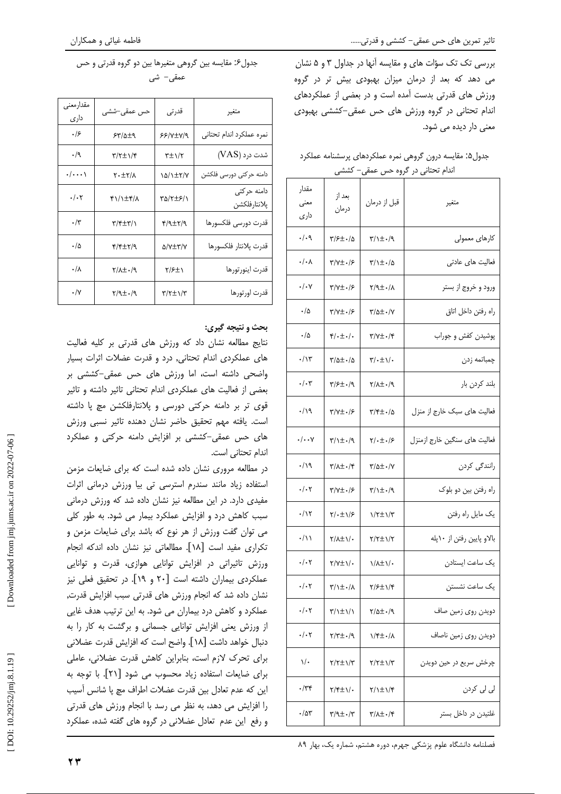بررسی تک تک سؤات های و مقایسه آنها در جداول ۳ و ۵ نشان می دهد که بعد از درمان میزان بهبودی بیش تر در گروه ورزش های قدرتی بدست آمده است و در بعضی از عملکردهای اندام تحتانی در گروه ورزش های حس عمقی-کششی بهبودی معنی دار دیده می شود.

## جدول۵: مقایسه درون گروهی نمره عملکردهای پرسشنامه عملکرد اندام تحتانی در گروه حس عمقی– کششی

| متغير                        | قبل از درمان                       | بعد از<br>درمان                      | مقدار<br>معنى<br>دار ی |
|------------------------------|------------------------------------|--------------------------------------|------------------------|
| كارهاى معمولى                | 7/1±۰/9                            | 3/۶±۰/۵                              | $\cdot/\cdot$ ٩        |
| فعالیت های عادتی             | 8/1±۰/۵                            | ۳/۷±۰/۶                              | ۰/۰۸                   |
| ورود و خروج از بستر          | 8/1±۰/۲                            | $Y/Y \pm -19$                        | ۰/۰۷                   |
| راه رفتن داخل اتاق           | 8/0±۰/۷                            | ۳/۷±۰/۶                              | ۰/۵                    |
| پوشیدن کفش و جوراب           | $\Upsilon/\Upsilon \pm 1/\Upsilon$ | ۴/۰±۰/۰                              | ۰/۵                    |
| چمباتمه زدن                  | ۳/۰±۱/۰                            | $\frac{\pi}{\Delta}$ +/ $\Delta$     | ۰/۱۳                   |
| بلند كردن بار                | $\gamma/\lambda \pm 1.4$           | T/S±./9                              | ۰/۰۳                   |
| فعالیت های سبک خارج از منزل  | ۲/۴±۰/۵                            | $\frac{\pi}{\sqrt{\pm}}.$            | ۰/۱۹                   |
| فعالیت های سنگین خارج ازمنزل | $\frac{1}{2}$                      | 7/1±./9                              | $\cdot/\cdot\cdot$ y   |
| رانندگی کردن                 | $\frac{1}{2}$ //                   | $\frac{1}{2}$                        | ۰/۱۹                   |
| راه رفتن بين دو بلوک         | $\uparrow/\uparrow \pm$ ۰/۹        | $Y/Y \pm -19$                        | $\cdot/\cdot$ ۲        |
| يک مايل راه رفتن             | $1/\tau \pm 1/\tau$                | ۲/۰±۱/۶                              | $\cdot/\gamma$         |
| بالاو پایین رفتن از ۱۰پله    | $Y/\tau \pm 1/\tau$                | <b>۲/۸±۱/۰</b>                       | ۰/۱۱                   |
| یک ساعت ایستادن              | <b>\/\±\/•</b>                     | ۲/۷±۱/۰                              | ۰/۰۲                   |
| یک ساعت نشستن                | <b>T/S±\/F</b>                     | $\frac{\pi}{1 + \epsilon}$           | ۰/۰۲                   |
| دویدن روی زمین صاف           | 7/5±0/9                            | <b>٣/١±١/١</b>                       | ۰/۰۲                   |
| دويدن روى زمين ناصاف         | <b>\/۴±۰/۸</b>                     | $P(Y^{\pm}+Y)$                       | $\cdot/\cdot$ ۲        |
| چرخش سریع در حین دویدن       | パイエリバ                              | $Y/\tau \pm 1/\tau$                  | ۱/۰                    |
| لی لی کردن                   | パパテル                               | <b>٢/۴±١/٠</b>                       | ۰/۳۴                   |
| غلتیدن در داخل بستر          | <b>A/\T+\</b>                      | $\uparrow/\uparrow\pm\cdot/\uparrow$ | ۰/۵۳                   |

| جدول۶: مقایسه بین گروهی متغیرها بین دو گروه قدرتی و حس |
|--------------------------------------------------------|
| عمقی− شی                                               |

| مقدارمعنى<br>داری | حس عمقی–شش <i>ی</i>                     | قدرتى                  | متغير                       |
|-------------------|-----------------------------------------|------------------------|-----------------------------|
| ۰۱۶               | ۶۳/۵±۹                                  | 6617±7/9               | نمره عملكرد اندام تحتانى    |
| $\cdot/9$         | $\frac{1}{2}$                           | $\tau \pm \gamma/\tau$ | شدت درد (VAS)               |
| $\cdot/\cdots$    | X.±۲/۸                                  | 15/1±۲/۷               | دامنه حركتى دورسى فلكشن     |
| ۰/۰۲              | F1/1±F/A                                | TQ/T±۶/1               | دامنه حركتى<br>يلانتارفلكشن |
| $\cdot/\tau$      | $\uparrow/\uparrow\pm\uparrow/\uparrow$ | $f/7$ $\pm$ $f/9$      | قدرت دورسى فلكسورها         |
| ۰/۵               | $R/\gamma$ + $\pm$                      | <b>A/Y±۳/V</b>         | قدرت پلانتار فلكسورها       |
| ۰/۸               | $\gamma/\lambda \pm \cdot/\gamma$       | ۲/۶±۱                  | قدرت اينورتورها             |
| $\cdot/\gamma$    | $\gamma/\gamma\pm.1$                    | $\tau/\tau\pm1/\tau$   | قدرت اورتورها               |

# بحث و نتيجه گيري:

نتایج مطالعه نشان داد که ورزش های قدرتی بر کلیه فعالیت های عملکردی اندام تحتانی, درد و قدرت عضلات اثرات بسیار واضحی داشته است، اما ورزش های حس عمقی-کششی بر بعضی از فعالیت های عملکردی اندام تحتانی تاثیر داشته و تاثیر قوی تر بر دامنه حرکتی دورسی و پلانتارفلکشن مچ پا داشته است. یافته مهم تحقیق حاضر نشان دهنده تاثیر نسبی ورزش های حس عمقی-کششی بر افزایش دامنه حرکتی و عملکرد اندام تحتاني است.

در مطالعه مروری نشان داده شده است که برای ضایعات مزمن استفاده زیاد مانند سندرم استرسی تی بیا ورزش درمانی اثرات مفیدی دارد. در این مطالعه نیز نشان داده شد که ورزش درمانی سبب کاهش درد و افزایش عملکرد بیمار می شود. به طور کلی می توان گفت ورزش از هر نوع که باشد برای ضایعات مزمن و تكراري مفيد است [١٨]. مطالعاتي نيز نشان داده اندكه انجام ورزش تاثیراتی در افزایش توانایی هوازی، قدرت و توانایی عملکردی بیماران داشته است [۲۰ و ۱۹]. در تحقیق فعلی نیز نشان داده شد که انجام ورزش های قدرتی سبب افزایش قدرت, عملکرد و کاهش درد بیماران می شود. به این ترتیب هدف غایی از ورزش یعنی افزایش توانایی جسمانی و برگشت به کار را به دنبال خواهد داشت [۱۸]. واضح است كه افزايش قدرت عضلاني برای تحرک لازم است، بنابراین کاهش قدرت عضلانی، عاملی برای ضایعات استفاده زیاد محسوب می شود [۲۱]. با توجه به این که عدم تعادل بین قدرت عضلات اطراف مچ پا شانس آسیب را افزایش می دهد، به نظر می رسد با انجام ورزش های قدرتی و رفع این عدم تعادل عضلانی در گروه های گفته شده، عملکرد

فصلنامه دانشگاه علوم پزشكى جهرم، دوره هشتم، شماره يک، بهار ٨٩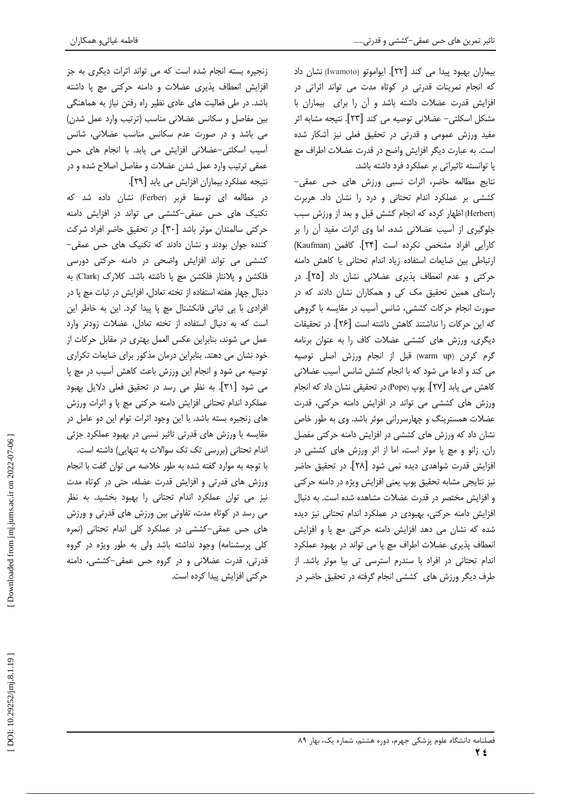بیماران بهبود پیدا می کند [۲۲]. ایواموتو (Iwamoto) نشان داد که انجام تمرینات قدرتی در کوتاه مدت می تواند اثراتی در افزایش قدرت عضلات داشته باشد و آن را برای بیماران با مشکل اسکلتی- عضلانی توصیه می کند [۲۳]. نتیجه مشابه اثر مفید ورزش عمومی و قدرتی در تحقیق فعلی نیز آشکار شده است. به عبارت دیگر افزایش واضح در قدرت عضلات اطراف مچ پا توانسته تاثیراتی بر عملکرد فرد داشته باشد.

نتايج مطالعه حاضر، اثرات نسبى ورزش هاى حس عمقى-کششی بر عملکرد اندام تحتانی و درد را نشان داد. هربرت (Herbert) اظهار کرده که انجام کشش قبل و بعد از ورزش سبب جلوگیری از آسیب عضلانی شده، اما وی اثرات مفید آن را بر كارآيي افراد مشخص نكرده است [٢۴]. كافمن (Kaufman) ارتباطی بین ضایعات استفاده زیاد اندام تحتانی یا کاهش دامنه حرکتی و عدم انعطاف پذیری عضلانی نشان داد [۲۵]. در راستای همین تحقیق مک کی و همکاران نشان دادند که در صورت انجام حرکات کششی، شانس آسیب در مقایسه با گروهی كه اين حركات را نداشتند كاهش داشته است [۲۶]. در تحقيقات دیگری، ورزش های کششی عضلات کاف را به عنوان برنامه گرم کردن (warm up) قبل از انجام ورزش اصلی توصیه می کند و ادعا می شود که با انجام کشش شانس آسیب عضلانی كاهش مي يابد [٢٧]. پوپ (Pope) در تحقيقي نشان داد كه انجام ورزش های کششی می تواند در افزایش دامنه حرکتی، قدرت عضلات همسترینگ و چهارسررانی موثر باشد. وی به طور خاص نشان داد که ورزش های کششی در افزایش دامنه حرکتی مفصل ران، زانو و مچ پا موثر است، اما از اثر ورزش های کششی در افزایش قدرت شواهدی دیده نمی شود [۲۸]. در تحقیق حاضر نیز نتایجی مشابه تحقیق پوپ یعنی افزایش ویژه در دامنه حرکتی و افزایش مختصر در قدرت عضلات مشاهده شده است. به دنبال افزایش دامنه حرکتی، بهبودی در عملکرد اندام تحتانی نیز دیده شده که نشان می دهد افزایش دامنه حرکتی مچ پا و افزایش انعطاف پذیری عضلات اطراف مچ پا می تواند در بهبود عملکرد اندام تحتانی در افراد با سندرم استرسی تی بیا موثر باشد. از طرف دیگر ورزش های کششی انجام گرفته در تحقیق حاضر در

زنجیره بسته انجام شده است که می تواند اثرات دیگری به جز

فاطمه غياثىو همكاران

افزایش انعطاف پذیری عضلات و دامنه حرکتی مچ پا داشته باشد. در طی فعالیت های عادی نظیر راه رفتن نیاز به هماهنگی بین مفاصل و سکانس عضلانی مناسب (ترتیب وارد عمل شدن) می باشد و در صورت عدم سکانس مناسب عضلانی، شانس آسیب اسکلتی-عضلانی افزایش می یابد. با انجام های حس عمقی ترتیب وارد عمل شدن عضلات و مفاصل اصلاح شده و در نتيجه عملكرد بيماران افزايش مي يابد [٢٩].

در مطالعه ای توسط فربر (Ferber) نشان داده شد که تکنیک های حس عمقی-کششی می تواند در افزایش دامنه حركتي سالمندان موثر باشد [٣٠]. در تحقيق حاضر افراد شركت کننده جوان بودند و نشان دادند که تکنیک های حس عمقی– کششی می تواند افزایش واضحی در دامنه حرکتی دورسی فلكشن و يلانتار فلكشن مچ يا داشته باشد. كلارك (Clark) به دنبال چهار هفته استفاده از تخته تعادل، افزايش در ثبات مچ پا در افرادی با بی ثباتی فانکشنال مچ پا پیدا کرد. این به خاطر این است که به دنبال استفاده از تخته تعادل، عضلات زودتر وارد عمل می شوند، بنابراین عکس العمل بهتری در مقابل حرکات از خود نشان می دهند. بنابراین درمان مذکور برای ضایعات تکراری توصیه می شود و انجام این ورزش باعث کاهش آسیب در مچ پا می شود [۳۱]. به نظر می رسد در تحقیق فعلی دلایل بهبود عملکرد اندام تحتانی افزایش دامنه حرکتی مچ پا و اثرات ورزش های زنجیره بسته باشد. با این وجود اثرات توام این دو عامل در مقایسه با ورزش های قدرتی تاثیر نسبی در بهبود عملکرد جزئی اندام تحتانی (بررسی تک تک سوالات به تنهایی) داشته است. با توجه به موارد گفته شده به طور خلاصه می توان گفت با انجام ورزش های قدرتی و افزایش قدرت عضله، حتی در کوتاه مدت نیز می توان عملکرد اندام تحتانی را بهبود بخشید. به نظر می رسد در کوتاه مدت، تفاوتی بین ورزش های قدرتی و ورزش های حس عمقی-کششی در عملکرد کلی اندام تحتانی (نمره کلی پرسشنامه) وجود نداشته باشد ولی به طور ویژه در گروه قدرتی، قدرت عضلانی و در گروه حس عمقی-کششی، دامنه حرکتی افزایش پیدا کرده است.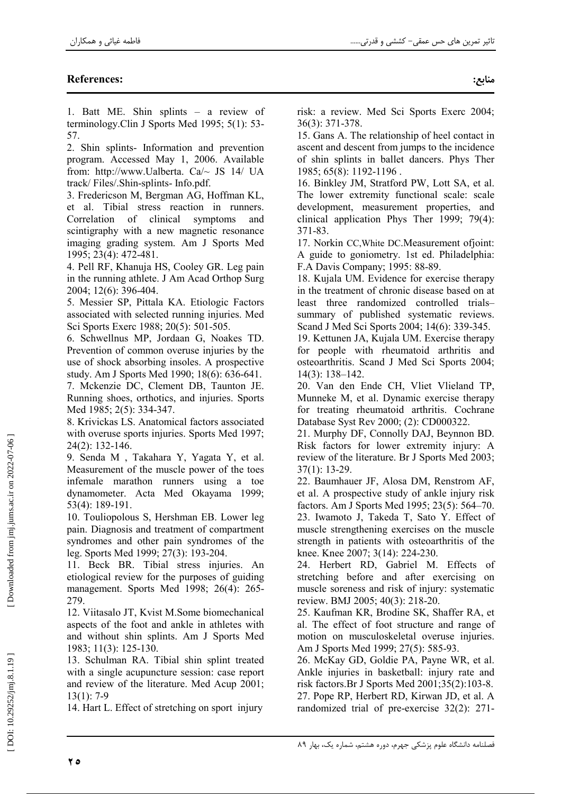# **References:**

1. Batt ME. Shin splints - a review of terminology. Clin J Sports Med 1995; 5(1): 53-57.

2. Shin splints- Information and prevention program. Accessed May 1, 2006. Available from: http://www.Ualberta. Ca/~ JS 14/ UA track/Files/.Shin-splints-Info.pdf.

3. Fredericson M, Bergman AG, Hoffman KL, et al. Tibial stress reaction in runners. Correlation of clinical symptoms and scintigraphy with a new magnetic resonance imaging grading system. Am J Sports Med 1995; 23(4): 472-481.

4. Pell RF, Khanuja HS, Cooley GR. Leg pain in the running athlete. J Am Acad Orthop Surg 2004; 12(6): 396-404.

5. Messier SP, Pittala KA. Etiologic Factors associated with selected running injuries. Med Sci Sports Exerc 1988; 20(5): 501-505.

6. Schwellnus MP, Jordaan G, Noakes TD. Prevention of common overuse injuries by the use of shock absorbing insoles. A prospective study. Am J Sports Med 1990; 18(6): 636-641.

7. Mckenzie DC, Clement DB, Taunton JE. Running shoes, orthotics, and injuries. Sports Med 1985: 2(5): 334-347.

8. Krivickas LS. Anatomical factors associated with overuse sports injuries. Sports Med 1997;  $24(2): 132-146.$ 

9. Senda M, Takahara Y, Yagata Y, et al. Measurement of the muscle power of the toes infemale marathon runners using a toe dynamometer. Acta Med Okayama 1999; 53(4): 189-191.

10. Touliopolous S, Hershman EB. Lower leg pain. Diagnosis and treatment of compartment syndromes and other pain syndromes of the leg. Sports Med 1999; 27(3): 193-204.

11. Beck BR. Tibial stress injuries. An etiological review for the purposes of guiding management. Sports Med 1998; 26(4): 265-279.

12. Viitasalo JT, Kvist M.Some biomechanical aspects of the foot and ankle in athletes with and without shin splints. Am J Sports Med 1983; 11(3): 125-130.

13. Schulman RA. Tibial shin splint treated with a single acupuncture session: case report and review of the literature. Med Acup 2001;  $13(1): 7-9$ 

14. Hart L. Effect of stretching on sport injury

risk: a review. Med Sci Sports Exerc 2004;  $36(3)$ : 371-378.

15. Gans A. The relationship of heel contact in ascent and descent from jumps to the incidence of shin splints in ballet dancers. Phys Ther 1985; 65(8): 1192-1196.

16. Binkley JM, Stratford PW, Lott SA, et al. The lower extremity functional scale: scale development, measurement properties, and clinical application Phys Ther 1999;  $79(4)$ : 371-83.

17. Norkin CC, White DC. Measurement of joint: A guide to goniometry. 1st ed. Philadelphia: F.A Davis Company: 1995: 88-89.

18. Kujala UM. Evidence for exercise therapy in the treatment of chronic disease based on at least three randomized controlled trialssummary of published systematic reviews. Scand J Med Sci Sports 2004; 14(6): 339-345.

19. Kettunen JA, Kujala UM. Exercise therapy for people with rheumatoid arthritis and osteoarthritis. Scand J Med Sci Sports 2004;  $14(3)$ : 138-142.

20. Van den Ende CH, Vliet Vlieland TP, Munneke M, et al. Dynamic exercise therapy for treating rheumatoid arthritis. Cochrane Database Syst Rev 2000; (2): CD000322.

21. Murphy DF, Connolly DAJ, Beynnon BD. Risk factors for lower extremity injury: A review of the literature. Br J Sports Med 2003;  $37(1): 13-29.$ 

22. Baumhauer JF, Alosa DM, Renstrom AF, et al. A prospective study of ankle injury risk factors. Am J Sports Med 1995; 23(5): 564–70. 23. Iwamoto J, Takeda T, Sato Y. Effect of muscle strengthening exercises on the muscle strength in patients with osteoarthritis of the knee. Knee 2007; 3(14): 224-230.

24. Herbert RD, Gabriel M. Effects of stretching before and after exercising on muscle soreness and risk of injury: systematic review. BMJ 2005; 40(3): 218-20.

25. Kaufman KR, Brodine SK, Shaffer RA, et al. The effect of foot structure and range of motion on musculoskeletal overuse injuries. Am J Sports Med 1999; 27(5): 585-93.

26. McKay GD, Goldie PA, Payne WR, et al. Ankle injuries in basketball: injury rate and risk factors. Br J Sports Med 2001;35(2):103-8. 27. Pope RP, Herbert RD, Kirwan JD, et al. A randomized trial of pre-exercise 32(2): 271-

ه ۲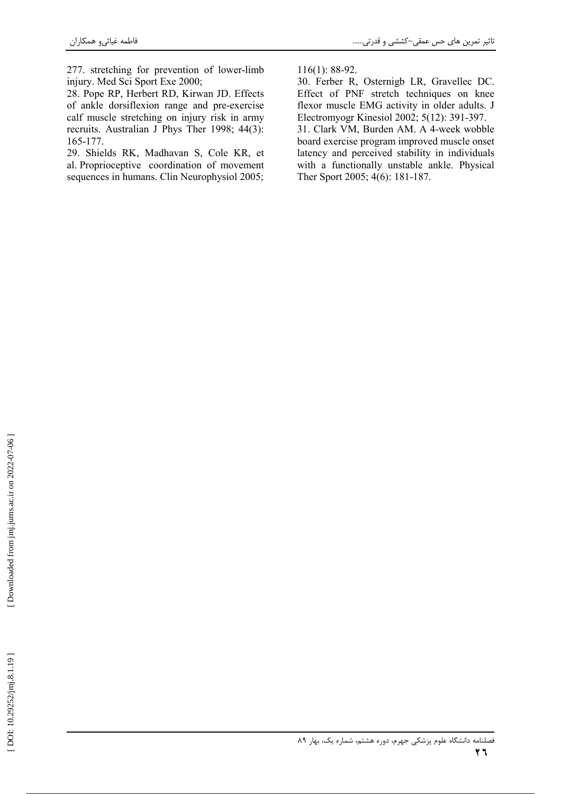277. stretching for prevention of lower-limb injury. Med Sci Sport Exe 2000;

28. Pope RP, Herbert RD, Kirwan JD. Effects of ankle dorsiflexion range and pre-exercise calf muscle stretching on injury risk in army recruits. Australian J Phys Ther 1998; 44(3): 165-177.

29. Shields RK, Madhavan S, Cole KR, et al. Proprioceptive coordination of movement sequences in humans. Clin Neurophysiol 2005;

 $116(1)$ : 88-92.

30. Ferber R, Osternigb LR, Gravellec DC. Effect of PNF stretch techniques on knee flexor muscle EMG activity in older adults. J Electromyogr Kinesiol 2002; 5(12): 391-397.

31. Clark VM, Burden AM. A 4-week wobble board exercise program improved muscle onset latency and perceived stability in individuals with a functionally unstable ankle. Physical Ther Sport 2005; 4(6): 181-187.